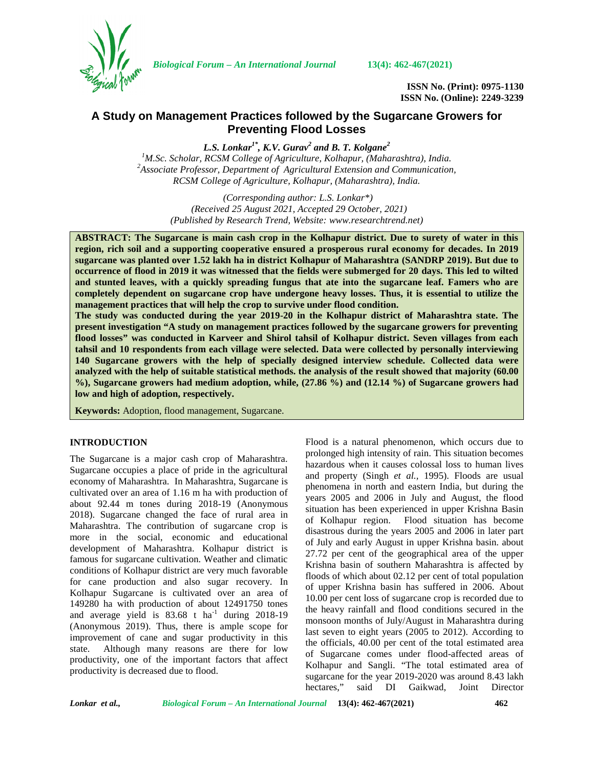

*Biological Forum – An International Journal* **13(4): 462-467(2021)**

**ISSN No. (Print): 0975-1130 ISSN No. (Online): 2249-3239**

# **A Study on Management Practices followed by the Sugarcane Growers for Preventing Flood Losses**

*L.S. Lonkar1\* , K.V. Gurav<sup>2</sup> and B. T. Kolgane<sup>2</sup>*

*<sup>1</sup>M.Sc. Scholar, RCSM College of Agriculture, Kolhapur, (Maharashtra), India. <sup>2</sup>Associate Professor, Department of Agricultural Extension and Communication, RCSM College of Agriculture, Kolhapur, (Maharashtra), India.*

> *(Corresponding author: L.S. Lonkar\*) (Received 25 August 2021, Accepted 29 October, 2021) (Published by Research Trend, Website: [www.researchtrend.net\)](www.researchtrend.net)*

**ABSTRACT: The Sugarcane is main cash crop in the Kolhapur district. Due to surety of water in this region, rich soil and a supporting cooperative ensured a prosperous rural economy for decades. In 2019 sugarcane was planted over 1.52 lakh ha in district Kolhapur of Maharashtra (SANDRP 2019). But due to occurrence of flood in 2019 it was witnessed that the fields were submerged for 20 days. This led to wilted and stunted leaves, with a quickly spreading fungus that ate into the sugarcane leaf. Famers who are completely dependent on sugarcane crop have undergone heavy losses. Thus, it is essential to utilize the management practices that will help the crop to survive under flood condition.**

**The study was conducted during the year 2019-20 in the Kolhapur district of Maharashtra state. The present investigation "A study on management practices followed by the sugarcane growers for preventing flood losses" was conducted in Karveer and Shirol tahsil of Kolhapur district. Seven villages from each tahsil and 10 respondents from each village were selected. Data were collected by personally interviewing 140 Sugarcane growers with the help of specially designed interview schedule. Collected data were analyzed with the help of suitable statistical methods. the analysis of the result showed that majority (60.00 %), Sugarcane growers had medium adoption, while, (27.86 %) and (12.14 %) of Sugarcane growers had low and high of adoption, respectively.**

**Keywords:** Adoption, flood management, Sugarcane.

#### **INTRODUCTION**

The Sugarcane is a major cash crop of Maharashtra. Sugarcane occupies a place of pride in the agricultural economy of Maharashtra. In Maharashtra, Sugarcane is cultivated over an area of 1.16 m ha with production of about 92.44 m tones during 2018-19 (Anonymous 2018). Sugarcane changed the face of rural area in Maharashtra. The contribution of sugarcane crop is more in the social, economic and educational development of Maharashtra. Kolhapur district is famous for sugarcane cultivation. Weather and climatic conditions of Kolhapur district are very much favorable for cane production and also sugar recovery. In Kolhapur Sugarcane is cultivated over an area of 149280 ha with production of about 12491750 tones and average yield is  $83.68$  t ha<sup>-1</sup> during 2018-19 (Anonymous 2019). Thus, there is ample scope for improvement of cane and sugar productivity in this state. Although many reasons are there for low productivity, one of the important factors that affect productivity is decreased due to flood.

Flood is a natural phenomenon, which occurs due to prolonged high intensity of rain. This situation becomes hazardous when it causes colossal loss to human lives and property (Singh *et al.,* 1995). Floods are usual phenomena in north and eastern India, but during the years 2005 and 2006 in July and August, the flood situation has been experienced in upper Krishna Basin of Kolhapur region. Flood situation has become disastrous during the years 2005 and 2006 in later part of July and early August in upper Krishna basin. about 27.72 per cent of the geographical area of the upper Krishna basin of southern Maharashtra is affected by floods of which about 02.12 per cent of total population of upper Krishna basin has suffered in 2006. About 10.00 per cent loss of sugarcane crop is recorded due to the heavy rainfall and flood conditions secured in the monsoon months of July/August in Maharashtra during last seven to eight years (2005 to 2012). According to the officials, 40.00 per cent of the total estimated area of Sugarcane comes under flood-affected areas of Kolhapur and Sangli. "The total estimated area of sugarcane for the year 2019-2020 was around 8.43 lakh hectares," said DI Gaikwad, Joint Director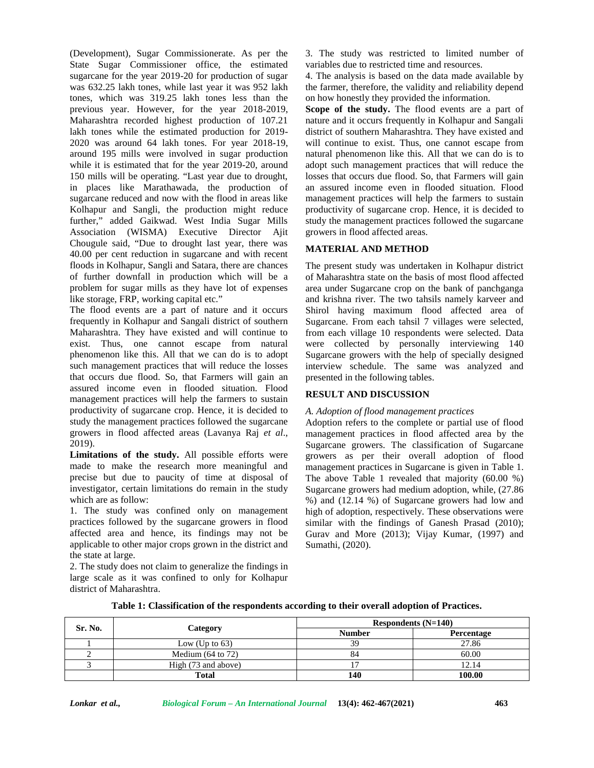(Development), Sugar Commissionerate. As per the State Sugar Commissioner office, the estimated sugarcane for the year 2019-20 for production of sugar was 632.25 lakh tones, while last year it was 952 lakh tones, which was 319.25 lakh tones less than the previous year. However, for the year 2018-2019, Maharashtra recorded highest production of 107.21 lakh tones while the estimated production for 2019- 2020 was around 64 lakh tones. For year 2018-19, around 195 mills were involved in sugar production while it is estimated that for the year 2019-20, around 150 mills will be operating. "Last year due to drought, in places like Marathawada, the production of sugarcane reduced and now with the flood in areas like Kolhapur and Sangli, the production might reduce further," added Gaikwad. West India Sugar Mills Association (WISMA) Executive Director Ajit Chougule said, "Due to drought last year, there was 40.00 per cent reduction in sugarcane and with recent floods in Kolhapur, Sangli and Satara, there are chances of further downfall in production which will be a problem for sugar mills as they have lot of expenses like storage, FRP, working capital etc."

The flood events are a part of nature and it occurs frequently in Kolhapur and Sangali district of southern Maharashtra. They have existed and will continue to exist. Thus, one cannot escape from natural phenomenon like this. All that we can do is to adopt such management practices that will reduce the losses that occurs due flood. So, that Farmers will gain an assured income even in flooded situation. Flood management practices will help the farmers to sustain productivity of sugarcane crop. Hence, it is decided to study the management practices followed the sugarcane growers in flood affected areas (Lavanya Raj *et al*., 2019).

**Limitations of the study.** All possible efforts were made to make the research more meaningful and precise but due to paucity of time at disposal of investigator, certain limitations do remain in the study which are as follow:

1. The study was confined only on management practices followed by the sugarcane growers in flood affected area and hence, its findings may not be applicable to other major crops grown in the district and the state at large.

2. The study does not claim to generalize the findings in large scale as it was confined to only for Kolhapur district of Maharashtra.

3. The study was restricted to limited number of variables due to restricted time and resources.

4. The analysis is based on the data made available by the farmer, therefore, the validity and reliability depend on how honestly they provided the information.

**Scope of the study.** The flood events are a part of nature and it occurs frequently in Kolhapur and Sangali district of southern Maharashtra. They have existed and will continue to exist. Thus, one cannot escape from natural phenomenon like this. All that we can do is to adopt such management practices that will reduce the losses that occurs due flood. So, that Farmers will gain an assured income even in flooded situation. Flood management practices will help the farmers to sustain productivity of sugarcane crop. Hence, it is decided to study the management practices followed the sugarcane growers in flood affected areas.

### **MATERIAL AND METHOD**

The present study was undertaken in Kolhapur district of Maharashtra state on the basis of most flood affected area under Sugarcane crop on the bank of panchganga and krishna river. The two tahsils namely karveer and Shirol having maximum flood affected area of Sugarcane. From each tahsil 7 villages were selected, from each village 10 respondents were selected. Data were collected by personally interviewing 140 Sugarcane growers with the help of specially designed interview schedule. The same was analyzed and presented in the following tables.

## **RESULT AND DISCUSSION**

#### *A. Adoption of flood management practices*

Adoption refers to the complete or partial use of flood management practices in flood affected area by the Sugarcane growers. The classification of Sugarcane growers as per their overall adoption of flood management practices in Sugarcane is given in Table 1. The above Table 1 revealed that majority (60.00 %) Sugarcane growers had medium adoption, while, (27.86 %) and (12.14 %) of Sugarcane growers had low and high of adoption, respectively. These observations were similar with the findings of Ganesh Prasad (2010); Gurav and More (2013); Vijay Kumar, (1997) and Sumathi, (2020).

| Sr. No. | Category                     | Respondents $(N=140)$ |            |  |
|---------|------------------------------|-----------------------|------------|--|
|         |                              | <b>Number</b>         | Percentage |  |
|         | Low (Up to $63$ )            | 39                    | 27.86      |  |
|         | Medium $(64 \text{ to } 72)$ | 04                    | 60.00      |  |
|         | High (73 and above)          |                       | 12.14      |  |
|         | <b>Total</b>                 | 140                   | 100.00     |  |

**Table 1: Classification of the respondents according to their overall adoption of Practices.**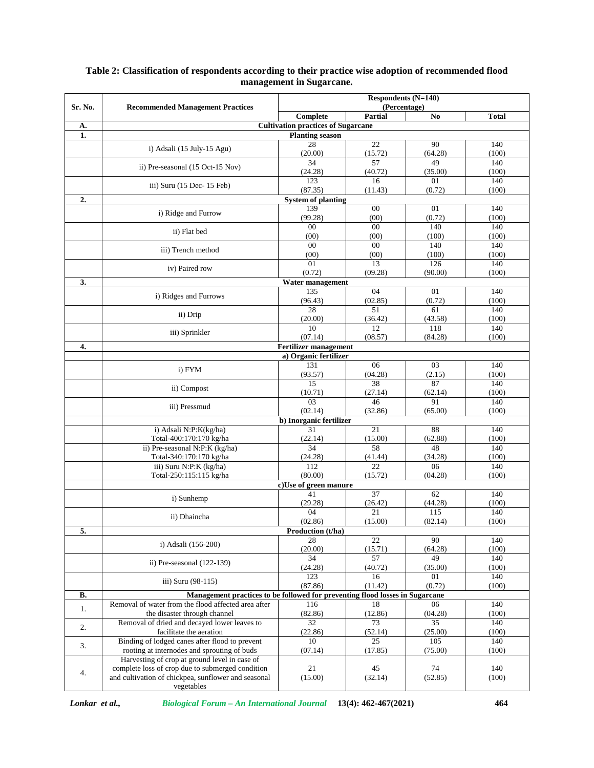|           | <b>Recommended Management Practices</b>                                                      | <b>Respondents (N=140)</b><br>(Percentage) |                         |                |              |
|-----------|----------------------------------------------------------------------------------------------|--------------------------------------------|-------------------------|----------------|--------------|
| Sr. No.   |                                                                                              | Complete                                   | <b>Partial</b>          | N <sub>0</sub> | <b>Total</b> |
| A.        |                                                                                              | <b>Cultivation practices of Sugarcane</b>  |                         |                |              |
| 1.        |                                                                                              | <b>Planting season</b>                     |                         |                |              |
|           | i) Adsali (15 July-15 Agu)                                                                   | 28                                         | 22                      | 90             | 140          |
|           |                                                                                              | (20.00)                                    | (15.72)                 | (64.28)        | (100)        |
|           | ii) Pre-seasonal (15 Oct-15 Nov)                                                             | 34<br>(24.28)                              | 57<br>(40.72)           | 49<br>(35.00)  | 140<br>(100) |
|           |                                                                                              | 123                                        | 16                      | 01             | 140          |
|           | iii) Suru (15 Dec- 15 Feb)                                                                   | (87.35)                                    | (11.43)                 | (0.72)         | (100)        |
| 2.        |                                                                                              | <b>System of planting</b>                  |                         |                |              |
|           | i) Ridge and Furrow                                                                          | 139                                        | $\overline{00}$         | 01             | 140          |
|           |                                                                                              | (99.28)                                    | (00)                    | (0.72)         | (100)        |
|           | ii) Flat bed                                                                                 | $00\,$<br>(00)                             | $\overline{00}$<br>(00) | 140            | 140          |
|           |                                                                                              | $00\,$                                     | $00\,$                  | (100)<br>140   | (100)<br>140 |
|           | iii) Trench method                                                                           | (00)                                       | (00)                    | (100)          | (100)        |
|           |                                                                                              | 01                                         | 13                      | 126            | 140          |
|           | iv) Paired row                                                                               | (0.72)                                     | (09.28)                 | (90.00)        | (100)        |
| 3.        |                                                                                              | Water management                           |                         |                |              |
|           | i) Ridges and Furrows                                                                        | 135                                        | 04                      | 01             | 140          |
|           |                                                                                              | (96.43)<br>28                              | (02.85)<br>51           | (0.72)<br>61   | (100)<br>140 |
|           | ii) Drip                                                                                     | (20.00)                                    | (36.42)                 | (43.58)        | (100)        |
|           |                                                                                              | 10                                         | $\overline{12}$         | 118            | 140          |
|           | iii) Sprinkler                                                                               | (07.14)                                    | (08.57)                 | (84.28)        | (100)        |
| 4.        |                                                                                              | <b>Fertilizer management</b>               |                         |                |              |
|           |                                                                                              | a) Organic fertilizer                      |                         |                |              |
|           | i) FYM                                                                                       | 131                                        | 06                      | 03             | 140          |
|           |                                                                                              | (93.57)<br>15                              | (04.28)<br>38           | (2.15)<br>87   | (100)<br>140 |
|           | ii) Compost                                                                                  | (10.71)                                    | (27.14)                 | (62.14)        | (100)        |
|           |                                                                                              | 03                                         | 46                      | 91             | 140          |
|           | iii) Pressmud                                                                                | (02.14)                                    | (32.86)                 | (65.00)        | (100)        |
|           |                                                                                              | b) Inorganic fertilizer                    |                         |                |              |
|           | i) Adsali N:P:K(kg/ha)                                                                       | 31                                         | 21                      | 88             | 140          |
|           | Total-400:170:170 kg/ha<br>ii) Pre-seasonal N:P:K (kg/ha)                                    | (22.14)<br>34                              | (15.00)<br>58           | (62.88)<br>48  | (100)<br>140 |
|           | Total-340:170:170 kg/ha                                                                      | (24.28)                                    | (41.44)                 | (34.28)        | (100)        |
|           | iii) Suru N:P:K (kg/ha)                                                                      | 112                                        | 22                      | 06             | 140          |
|           | Total-250:115:115 kg/ha                                                                      | (80.00)                                    | (15.72)                 | (04.28)        | (100)        |
|           |                                                                                              | c)Use of green manure                      |                         |                |              |
|           | i) Sunhemp                                                                                   | 41                                         | 37                      | 62             | 140          |
|           |                                                                                              | (29.28)                                    | (26.42)                 | (44.28)        | (100)        |
|           | ii) Dhaincha                                                                                 | 04<br>(02.86)                              | 21<br>(15.00)           | 115<br>(82.14) | 140<br>(100) |
| 5.        |                                                                                              | Production (t/ha)                          |                         |                |              |
|           |                                                                                              | 28                                         | $\overline{22}$         | 90             | 140          |
|           | i) Adsali (156-200)                                                                          | (20.00)                                    | (15.71)                 | (64.28)        | (100)        |
|           | ii) Pre-seasonal $(122-139)$                                                                 | 34                                         | 57                      | 49             | 140          |
|           |                                                                                              | (24.28)                                    | (40.72)                 | (35.00)        | (100)        |
|           | iii) Suru (98-115)                                                                           | 123<br>(87.86)                             | 16<br>(11.42)           | 01<br>(0.72)   | 140<br>(100) |
| <b>B.</b> | Management practices to be followed for preventing flood losses in Sugarcane                 |                                            |                         |                |              |
|           | Removal of water from the flood affected area after                                          | 116                                        | 18                      | 06             | 140          |
| 1.        | the disaster through channel                                                                 | (82.86)                                    | (12.86)                 | (04.28)        | (100)        |
| 2.        | Removal of dried and decayed lower leaves to                                                 | 32                                         | 73                      | 35             | 140          |
|           | facilitate the aeration                                                                      | (22.86)                                    | (52.14)                 | (25.00)        | (100)        |
| 3.        | Binding of lodged canes after flood to prevent                                               | 10                                         | 25                      | 105            | 140          |
|           | rooting at internodes and sprouting of buds<br>Harvesting of crop at ground level in case of | (07.14)                                    | (17.85)                 | (75.00)        | (100)        |
|           | complete loss of crop due to submerged condition                                             | 21                                         | 45                      | 74             | 140          |
| 4.        | and cultivation of chickpea, sunflower and seasonal                                          | (15.00)                                    | (32.14)                 | (52.85)        | (100)        |
|           | vegetables                                                                                   |                                            |                         |                |              |

#### **Table 2: Classification of respondents according to their practice wise adoption of recommended flood management in Sugarcane.**

*Lonkar et al., Biological Forum – An International Journal* **13(4): 462-467(2021) 464**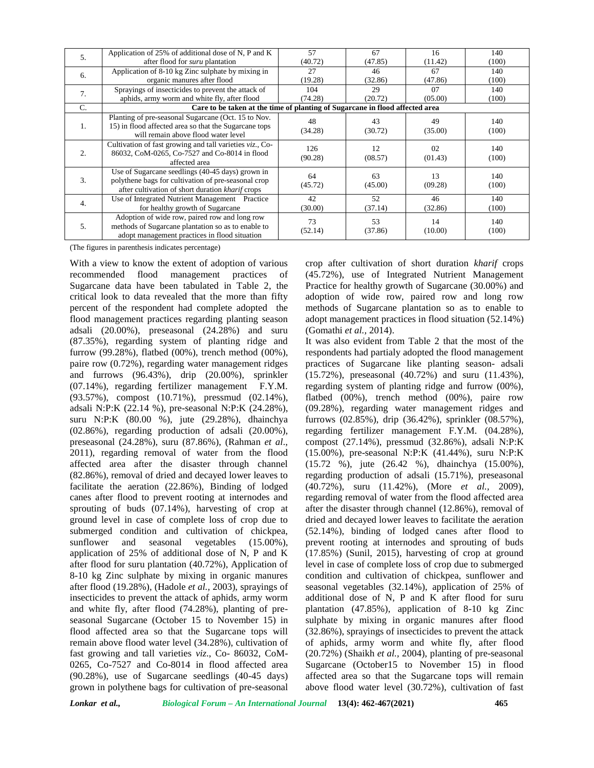| 5.               | Application of 25% of additional dose of N, P and K                                                                                                         | 57             | 67            | 16            | 140          |  |  |
|------------------|-------------------------------------------------------------------------------------------------------------------------------------------------------------|----------------|---------------|---------------|--------------|--|--|
|                  | after flood for <i>suru</i> plantation                                                                                                                      | (40.72)        | (47.85)       | (11.42)       | (100)        |  |  |
| 6.               | Application of 8-10 kg Zinc sulphate by mixing in                                                                                                           | 27             | 46            | 67            | 140          |  |  |
|                  | organic manures after flood                                                                                                                                 | (19.28)        | (32.86)       | (47.86)       | (100)        |  |  |
| 7.               | Sprayings of insecticides to prevent the attack of                                                                                                          | 104            | 29            | 07            | 140          |  |  |
|                  | aphids, army worm and white fly, after flood                                                                                                                | (74.28)        | (20.72)       | (05.00)       | (100)        |  |  |
| C.               | Care to be taken at the time of planting of Sugarcane in flood affected area                                                                                |                |               |               |              |  |  |
| 1.               | Planting of pre-seasonal Sugarcane (Oct. 15 to Nov.<br>15) in flood affected area so that the Sugarcane tops<br>will remain above flood water level         | 48<br>(34.28)  | 43<br>(30.72) | 49<br>(35.00) | 140<br>(100) |  |  |
| $\overline{2}$ . | Cultivation of fast growing and tall varieties <i>viz</i> ., Co-<br>86032, CoM-0265, Co-7527 and Co-8014 in flood<br>affected area                          | 126<br>(90.28) | 12<br>(08.57) | 02<br>(01.43) | 140<br>(100) |  |  |
| 3.               | Use of Sugarcane seedlings (40-45 days) grown in<br>polythene bags for cultivation of pre-seasonal crop<br>after cultivation of short duration kharif crops | 64<br>(45.72)  | 63<br>(45.00) | 13<br>(09.28) | 140<br>(100) |  |  |
| 4.               | Use of Integrated Nutrient Management Practice<br>for healthy growth of Sugarcane                                                                           | 42<br>(30.00)  | 52<br>(37.14) | 46<br>(32.86) | 140<br>(100) |  |  |
| 5.               | Adoption of wide row, paired row and long row<br>methods of Sugarcane plantation so as to enable to<br>adopt management practices in flood situation        | 73<br>(52.14)  | 53<br>(37.86) | 14<br>(10.00) | 140<br>(100) |  |  |

(The figures in parenthesis indicates percentage)

With a view to know the extent of adoption of various recommended flood management practices of Sugarcane data have been tabulated in Table 2, the critical look to data revealed that the more than fifty percent of the respondent had complete adopted the flood management practices regarding planting season adsali (20.00%), preseasonal (24.28%) and suru (87.35%), regarding system of planting ridge and furrow (99.28%), flatbed (00%), trench method (00%), paire row (0.72%), regarding water management ridges and furrows (96.43%), drip (20.00%), sprinkler (07.14%), regarding fertilizer management F.Y.M. (93.57%), compost (10.71%), pressmud (02.14%), adsali N:P:K (22.14 %), pre-seasonal N:P:K (24.28%), suru N:P:K (80.00 %), jute (29.28%), dhainchya (02.86%), regarding production of adsali (20.00%), preseasonal (24.28%), suru (87.86%), (Rahman *et al*., 2011), regarding removal of water from the flood affected area after the disaster through channel (82.86%), removal of dried and decayed lower leaves to facilitate the aeration (22.86%), Binding of lodged canes after flood to prevent rooting at internodes and sprouting of buds (07.14%), harvesting of crop at ground level in case of complete loss of crop due to submerged condition and cultivation of chickpea, sunflower and seasonal vegetables  $(15.00\%)$ , application of 25% of additional dose of N, P and K after flood for suru plantation (40.72%), Application of 8-10 kg Zinc sulphate by mixing in organic manures after flood (19.28%), (Hadole *et al.,* 2003), sprayings of insecticides to prevent the attack of aphids, army worm and white fly, after flood (74.28%), planting of pre seasonal Sugarcane (October 15 to November 15) in flood affected area so that the Sugarcane tops will remain above flood water level (34.28%), cultivation of fast growing and tall varieties *viz*., Co- 86032, CoM- 0265, Co-7527 and Co-8014 in flood affected area (90.28%), use of Sugarcane seedlings (40-45 days) grown in polythene bags for cultivation of pre-seasonal

crop after cultivation of short duration *kharif* crops (45.72%), use of Integrated Nutrient Management Practice for healthy growth of Sugarcane (30.00%) and adoption of wide row, paired row and long row methods of Sugarcane plantation so as to enable to adopt management practices in flood situation (52.14%) (Gomathi *et al.,* 2014).

It was also evident from Table 2 that the most of the respondents had partialy adopted the flood management practices of Sugarcane like planting season- adsali (15.72%), preseasonal (40.72%) and suru (11.43%), regarding system of planting ridge and furrow (00%), flatbed (00%), trench method (00%), paire row (09.28%), regarding water management ridges and furrows (02.85%), drip (36.42%), sprinkler (08.57%), regarding fertilizer management F.Y.M. (04.28%), compost (27.14%), pressmud (32.86%), adsali N:P:K (15.00%), pre-seasonal N:P:K (41.44%), suru N:P:K (15.72 %), jute (26.42 %), dhainchya (15.00%), regarding production of adsali (15.71%), preseasonal (40.72%), suru (11.42%), (More *et al.,* 2009), regarding removal of water from the flood affected area after the disaster through channel (12.86%), removal of dried and decayed lower leaves to facilitate the aeration (52.14%), binding of lodged canes after flood to prevent rooting at internodes and sprouting of buds (17.85%) (Sunil, 2015), harvesting of crop at ground level in case of complete loss of crop due to submerged condition and cultivation of chickpea, sunflower and seasonal vegetables (32.14%), application of 25% of additional dose of N, P and K after flood for suru plantation (47.85%), application of 8-10 kg Zinc sulphate by mixing in organic manures after flood (32.86%), sprayings of insecticides to prevent the attack of aphids, army worm and white fly, after flood (20.72%) (Shaikh *et al.,* 2004), planting of pre-seasonal Sugarcane (October15 to November 15) in flood affected area so that the Sugarcane tops will remain above flood water level (30.72%), cultivation of fast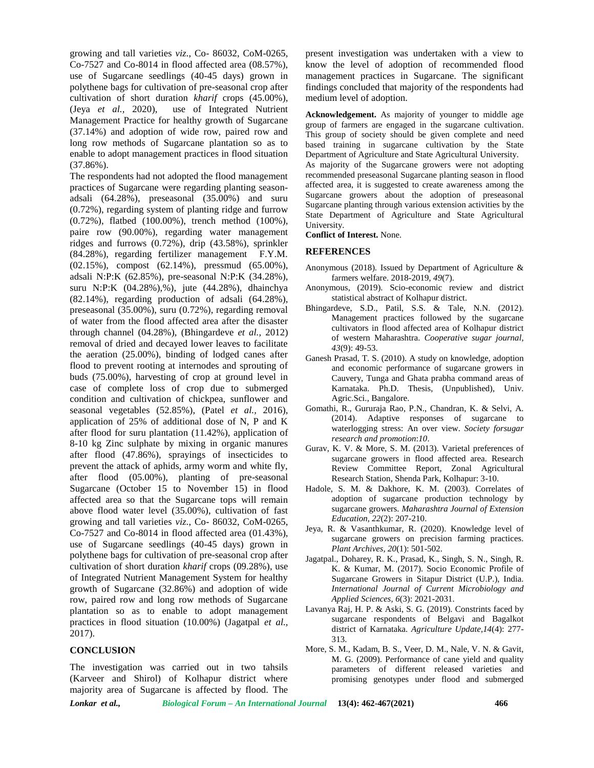growing and tall varieties *viz*., Co- 86032, CoM-0265, Co-7527 and Co-8014 in flood affected area (08.57%), use of Sugarcane seedlings (40-45 days) grown in polythene bags for cultivation of pre-seasonal crop after cultivation of short duration *kharif* crops (45.00%), (Jeya *et al.,* 2020), use of Integrated Nutrient Management Practice for healthy growth of Sugarcane (37.14%) and adoption of wide row, paired row and long row methods of Sugarcane plantation so as to enable to adopt management practices in flood situation (37.86%).

The respondents had not adopted the flood management practices of Sugarcane were regarding planting season adsali (64.28%), preseasonal (35.00%) and suru (0.72%), regarding system of planting ridge and furrow (0.72%), flatbed (100.00%), trench method (100%), paire row (90.00%), regarding water management ridges and furrows (0.72%), drip (43.58%), sprinkler (84.28%), regarding fertilizer management F.Y.M. (02.15%), compost (62.14%), pressmud (65.00%), adsali N:P:K (62.85%), pre-seasonal N:P:K (34.28%), suru N:P:K (04.28%),%), jute (44.28%), dhainchya (82.14%), regarding production of adsali (64.28%), preseasonal (35.00%), suru (0.72%), regarding removal of water from the flood affected area after the disaster through channel (04.28%), (Bhingardeve *et al.,* 2012) removal of dried and decayed lower leaves to facilitate the aeration (25.00%), binding of lodged canes after flood to prevent rooting at internodes and sprouting of buds (75.00%), harvesting of crop at ground level in case of complete loss of crop due to submerged condition and cultivation of chickpea, sunflower and seasonal vegetables (52.85%), (Patel *et al.,* 2016), application of 25% of additional dose of N, P and K after flood for suru plantation (11.42%), application of 8-10 kg Zinc sulphate by mixing in organic manures after flood (47.86%), sprayings of insecticides to prevent the attack of aphids, army worm and white fly, after flood (05.00%), planting of pre-seasonal Sugarcane (October 15 to November 15) in flood affected area so that the Sugarcane tops will remain above flood water level (35.00%), cultivation of fast growing and tall varieties *viz*., Co- 86032, CoM-0265, Co-7527 and Co-8014 in flood affected area (01.43%), use of Sugarcane seedlings (40-45 days) grown in polythene bags for cultivation of pre-seasonal crop after cultivation of short duration *kharif* crops (09.28%), use of Integrated Nutrient Management System for healthy growth of Sugarcane (32.86%) and adoption of wide row, paired row and long row methods of Sugarcane plantation so as to enable to adopt management practices in flood situation (10.00%) (Jagatpal *et al.,* 2017).

## **CONCLUSION**

The investigation was carried out in two tahsils (Karveer and Shirol) of Kolhapur district where majority area of Sugarcane is affected by flood. The present investigation was undertaken with a view to know the level of adoption of recommended flood management practices in Sugarcane. The significant findings concluded that majority of the respondents had medium level of adoption.

**Acknowledgement.** As majority of younger to middle age group of farmers are engaged in the sugarcane cultivation. This group of society should be given complete and need based training in sugarcane cultivation by the State Department of Agriculture and State Agricultural University.

As majority of the Sugarcane growers were not adopting recommended preseasonal Sugarcane planting season in flood affected area, it is suggested to create awareness among the Sugarcane growers about the adoption of preseasonal Sugarcane planting through various extension activities by the State Department of Agriculture and State Agricultural University.

**Conflict of Interest.** None.

#### **REFERENCES**

- Anonymous (2018). Issued by Department of Agriculture & farmers welfare. 2018-2019, *49*(7).
- Anonymous, (2019). Scio-economic review and district statistical abstract of Kolhapur district.
- Bhingardeve, S.D., Patil, S.S. & Tale, N.N. (2012). Management practices followed by the sugarcane cultivators in flood affected area of Kolhapur district of western Maharashtra. *Cooperative sugar journal, 43*(9): 49-53.
- Ganesh Prasad, T. S. (2010). A study on knowledge, adoption and economic performance of sugarcane growers in Cauvery, Tunga and Ghata prabha command areas of Karnataka. Ph.D. Thesis, (Unpublished), Univ. Agric.Sci., Bangalore.
- Gomathi, R., Gururaja Rao, P.N., Chandran, K. & Selvi, A. (2014). Adaptive responses of sugarcane to waterlogging stress: An over view. *Society forsugar research and promotion*:*10*.
- Gurav, K. V. & More, S. M. (2013). Varietal preferences of sugarcane growers in flood affected area. Research Review Committee Report, Zonal Agricultural Research Station, Shenda Park, Kolhapur: 3-10.
- Hadole, S. M. & Dakhore, K. M. (2003). Correlates of adoption of sugarcane production technology by sugarcane growers. *Maharashtra Journal of Extension Education, 22*(2): 207-210.
- Jeya, R. & Vasanthkumar, R. (2020). Knowledge level of sugarcane growers on precision farming practices. *Plant Archives, 20*(1): 501-502.
- Jagatpal., Doharey, R. K., Prasad, K., Singh, S. N., Singh, R. K. & Kumar, M. (2017). Socio Economic Profile of Sugarcane Growers in Sitapur District (U.P.), India. *International Journal of Current Microbiology and Applied Sciences, 6*(3): 2021-2031.
- Lavanya Raj, H. P. & Aski, S. G. (2019). Constrints faced by sugarcane respondents of Belgavi and Bagalkot district of Karnataka. *Agriculture Update,14*(4): 277- 313.
- More, S. M., Kadam, B. S., Veer, D. M., Nale, V. N. & Gavit, M. G. (2009). Performance of cane yield and quality parameters of different released varieties and promising genotypes under flood and submerged

*Lonkar et al., Biological Forum – An International Journal* **13(4): 462-467(2021) 466**